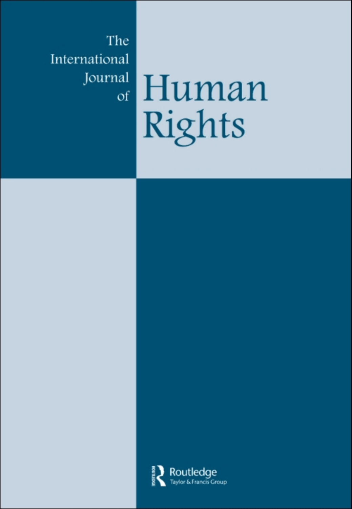The International Journal  $\sigma$ f

Human Rights

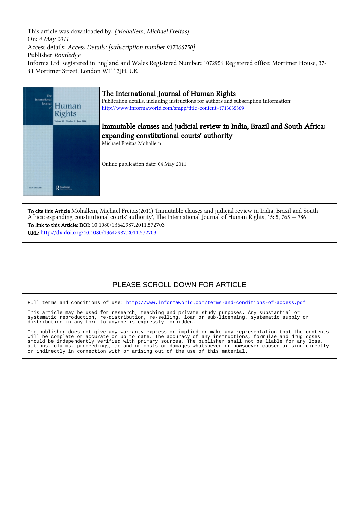This article was downloaded by: [Mohallem, Michael Freitas] On: 4 May 2011 Access details: Access Details: [subscription number 937266750] Publisher Routledge Informa Ltd Registered in England and Wales Registered Number: 1072954 Registered office: Mortimer House, 37- 41 Mortimer Street, London W1T 3JH, UK



To cite this Article Mohallem, Michael Freitas(2011) 'Immutable clauses and judicial review in India, Brazil and South Africa: expanding constitutional courts' authority', The International Journal of Human Rights, 15: 5, 765 — 786 To link to this Article: DOI: 10.1080/13642987.2011.572703 URL: <http://dx.doi.org/10.1080/13642987.2011.572703>

# PLEASE SCROLL DOWN FOR ARTICLE

Full terms and conditions of use: <http://www.informaworld.com/terms-and-conditions-of-access.pdf>

This article may be used for research, teaching and private study purposes. Any substantial or systematic reproduction, re-distribution, re-selling, loan or sub-licensing, systematic supply or distribution in any form to anyone is expressly forbidden.

The publisher does not give any warranty express or implied or make any representation that the contents will be complete or accurate or up to date. The accuracy of any instructions, formulae and drug doses should be independently verified with primary sources. The publisher shall not be liable for any loss, actions, claims, proceedings, demand or costs or damages whatsoever or howsoever caused arising directly or indirectly in connection with or arising out of the use of this material.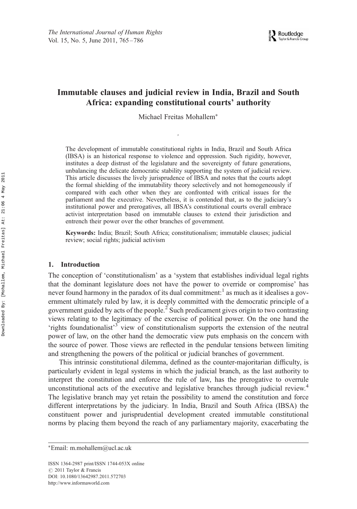## Immutable clauses and judicial review in India, Brazil and South Africa: expanding constitutional courts' authority

Michael Freitas Mohallem<sup>∗</sup>

,

The development of immutable constitutional rights in India, Brazil and South Africa (IBSA) is an historical response to violence and oppression. Such rigidity, however, institutes a deep distrust of the legislature and the sovereignty of future generations, unbalancing the delicate democratic stability supporting the system of judicial review. This article discusses the lively jurisprudence of IBSA and notes that the courts adopt the formal shielding of the immutability theory selectively and not homogeneously if compared with each other when they are confronted with critical issues for the parliament and the executive. Nevertheless, it is contended that, as to the judiciary's institutional power and prerogatives, all IBSA's constitutional courts overall embrace activist interpretation based on immutable clauses to extend their jurisdiction and entrench their power over the other branches of government.

Keywords: India; Brazil; South Africa; constitutionalism; immutable clauses; judicial review; social rights; judicial activism

## 1. Introduction

The conception of 'constitutionalism' as a 'system that establishes individual legal rights that the dominant legislature does not have the power to override or compromise' has never found harmony in the paradox of its dual commitment:<sup>1</sup> as much as it idealises a government ultimately ruled by law, it is deeply committed with the democratic principle of a government guided by acts of the people.<sup>2</sup> Such predicament gives origin to two contrasting views relating to the legitimacy of the exercise of political power. On the one hand the 'rights foundationalist'<sup>3</sup> view of constitutionalism supports the extension of the neutral power of law, on the other hand the democratic view puts emphasis on the concern with the source of power. Those views are reflected in the pendular tensions between limiting and strengthening the powers of the political or judicial branches of government.

This intrinsic constitutional dilemma, defined as the counter-majoritarian difficulty, is particularly evident in legal systems in which the judicial branch, as the last authority to interpret the constitution and enforce the rule of law, has the prerogative to overrule unconstitutional acts of the executive and legislative branches through judicial review.<sup>4</sup> The legislative branch may yet retain the possibility to amend the constitution and force different interpretations by the judiciary. In India, Brazil and South Africa (IBSA) the constituent power and jurisprudential development created immutable constitutional norms by placing them beyond the reach of any parliamentary majority, exacerbating the

ISSN 1364-2987 print/ISSN 1744-053X online  $\odot$  2011 Taylor & Francis DOI: 10.1080/13642987.2011.572703 http://www.informaworld.com

<sup>∗</sup>Email: m.mohallem@ucl.ac.uk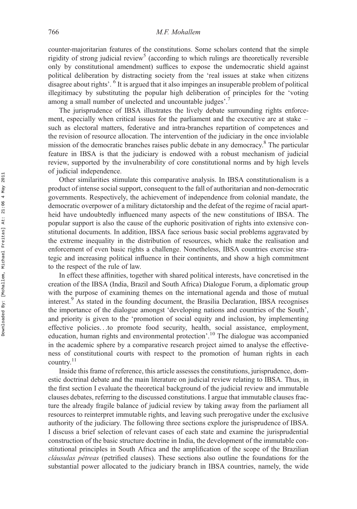counter-majoritarian features of the constitutions. Some scholars contend that the simple rigidity of strong judicial review<sup>5</sup> (according to which rulings are theoretically reversible only by constitutional amendment) suffices to expose the undemocratic shield against political deliberation by distracting society from the 'real issues at stake when citizens disagree about rights'. <sup>6</sup> It is argued that it also impinges an insuperable problem of political illegitimacy by substituting the popular high deliberation of principles for the 'voting among a small number of unelected and uncountable judges'.<sup>7</sup>

The jurisprudence of IBSA illustrates the lively debate surrounding rights enforcement, especially when critical issues for the parliament and the executive are at stake – such as electoral matters, federative and intra-branches repartition of competences and the revision of resource allocation. The intervention of the judiciary in the once inviolable mission of the democratic branches raises public debate in any democracy.<sup>8</sup> The particular feature in IBSA is that the judiciary is endowed with a robust mechanism of judicial review, supported by the invulnerability of core constitutional norms and by high levels of judicial independence.

Other similarities stimulate this comparative analysis. In IBSA constitutionalism is a product of intense social support, consequent to the fall of authoritarian and non-democratic governments. Respectively, the achievement of independence from colonial mandate, the democratic overpower of a military dictatorship and the defeat of the regime of racial apartheid have undoubtedly influenced many aspects of the new constitutions of IBSA. The popular support is also the cause of the euphoric positivation of rights into extensive constitutional documents. In addition, IBSA face serious basic social problems aggravated by the extreme inequality in the distribution of resources, which make the realisation and enforcement of even basic rights a challenge. Nonetheless, IBSA countries exercise strategic and increasing political influence in their continents, and show a high commitment to the respect of the rule of law.

In effect these affinities, together with shared political interests, have concretised in the creation of the IBSA (India, Brazil and South Africa) Dialogue Forum, a diplomatic group with the purpose of examining themes on the international agenda and those of mutual interest.<sup>9</sup> As stated in the founding document, the Brasilia Declaration, IBSA recognises the importance of the dialogue amongst 'developing nations and countries of the South', and priority is given to the 'promotion of social equity and inclusion, by implementing effective policies...to promote food security, health, social assistance, employment, education, human rights and environmental protection'.<sup>10</sup> The dialogue was accompanied in the academic sphere by a comparative research project aimed to analyse the effectiveness of constitutional courts with respect to the promotion of human rights in each country. $^{11}$ 

Inside this frame of reference, this article assesses the constitutions, jurisprudence, domestic doctrinal debate and the main literature on judicial review relating to IBSA. Thus, in the first section I evaluate the theoretical background of the judicial review and immutable clauses debates, referring to the discussed constitutions. I argue that immutable clauses fracture the already fragile balance of judicial review by taking away from the parliament all resources to reinterpret immutable rights, and leaving such prerogative under the exclusive authority of the judiciary. The following three sections explore the jurisprudence of IBSA. I discuss a brief selection of relevant cases of each state and examine the jurisprudential construction of the basic structure doctrine in India, the development of the immutable constitutional principles in South Africa and the amplification of the scope of the Brazilian cláusulas pétreas (petrified clauses). These sections also outline the foundations for the substantial power allocated to the judiciary branch in IBSA countries, namely, the wide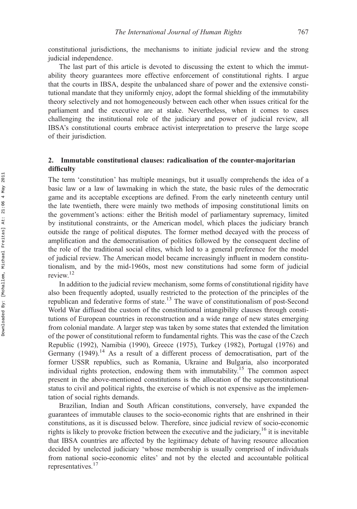constitutional jurisdictions, the mechanisms to initiate judicial review and the strong judicial independence.

The last part of this article is devoted to discussing the extent to which the immutability theory guarantees more effective enforcement of constitutional rights. I argue that the courts in IBSA, despite the unbalanced share of power and the extensive constitutional mandate that they uniformly enjoy, adopt the formal shielding of the immutability theory selectively and not homogeneously between each other when issues critical for the parliament and the executive are at stake. Nevertheless, when it comes to cases challenging the institutional role of the judiciary and power of judicial review, all IBSA's constitutional courts embrace activist interpretation to preserve the large scope of their jurisdiction.

## 2. Immutable constitutional clauses: radicalisation of the counter-majoritarian difficulty

The term 'constitution' has multiple meanings, but it usually comprehends the idea of a basic law or a law of lawmaking in which the state, the basic rules of the democratic game and its acceptable exceptions are defined. From the early nineteenth century until the late twentieth, there were mainly two methods of imposing constitutional limits on the government's actions: either the British model of parliamentary supremacy, limited by institutional constraints, or the American model, which places the judiciary branch outside the range of political disputes. The former method decayed with the process of amplification and the democratisation of politics followed by the consequent decline of the role of the traditional social elites, which led to a general preference for the model of judicial review. The American model became increasingly influent in modern constitutionalism, and by the mid-1960s, most new constitutions had some form of judicial review.12

In addition to the judicial review mechanism, some forms of constitutional rigidity have also been frequently adopted, usually restricted to the protection of the principles of the republican and federative forms of state.<sup>13</sup> The wave of constitutionalism of post-Second World War diffused the custom of the constitutional intangibility clauses through constitutions of European countries in reconstruction and a wide range of new states emerging from colonial mandate. A larger step was taken by some states that extended the limitation of the power of constitutional reform to fundamental rights. This was the case of the Czech Republic (1992), Namibia (1990), Greece (1975), Turkey (1982), Portugal (1976) and Germany (1949).<sup>14</sup> As a result of a different process of democratisation, part of the former USSR republics, such as Romania, Ukraine and Bulgaria, also incorporated individual rights protection, endowing them with immutability.<sup>15</sup> The common aspect present in the above-mentioned constitutions is the allocation of the superconstitutional status to civil and political rights, the exercise of which is not expensive as the implementation of social rights demands.

Brazilian, Indian and South African constitutions, conversely, have expanded the guarantees of immutable clauses to the socio-economic rights that are enshrined in their constitutions, as it is discussed below. Therefore, since judicial review of socio-economic rights is likely to provoke friction between the executive and the judiciary,<sup>16</sup> it is inevitable that IBSA countries are affected by the legitimacy debate of having resource allocation decided by unelected judiciary 'whose membership is usually comprised of individuals from national socio-economic elites' and not by the elected and accountable political representatives.<sup>17</sup>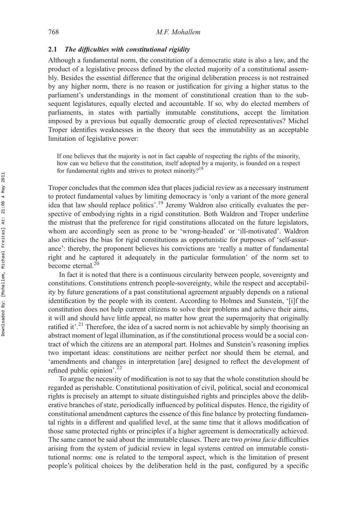#### 2.1 The difficulties with constitutional rigidity

Although a fundamental norm, the constitution of a democratic state is also a law, and the product of a legislative process defined by the elected majority of a constitutional assembly. Besides the essential difference that the original deliberation process is not restrained by any higher norm, there is no reason or justification for giving a higher status to the parliament's understandings in the moment of constitutional creation than to the subsequent legislatures, equally elected and accountable. If so, why do elected members of parliaments, in states with partially immutable constitutions, accept the limitation imposed by a previous but equally democratic group of elected representatives? Michel Troper identifies weaknesses in the theory that sees the immutability as an acceptable limitation of legislative power:

If one believes that the majority is not in fact capable of respecting the rights of the minority, how can we believe that the constitution, itself adopted by a majority, is founded on a respect for fundamental rights and strives to protect minority?<sup>18</sup>

Troper concludes that the common idea that places judicial review as a necessary instrument to protect fundamental values by limiting democracy is 'only a variant of the more general idea that law should replace politics'.<sup>19</sup> Jeremy Waldron also critically evaluates the perspective of embodying rights in a rigid constitution. Both Waldron and Troper underline the mistrust that the preference for rigid constitutions allocated on the future legislators, whom are accordingly seen as prone to be 'wrong-headed' or 'ill-motivated'. Waldron also criticises the bias for rigid constitutions as opportunistic for purposes of 'self-assurance': thereby, the proponent believes his convictions are 'really a matter of fundamental right and he captured it adequately in the particular formulation' of the norm set to become eternal.<sup>20</sup>

In fact it is noted that there is a continuous circularity between people, sovereignty and constitutions. Constitutions entrench people-sovereignty, while the respect and acceptability by future generations of a past constitutional agreement arguably depends on a rational identification by the people with its content. According to Holmes and Sunstein, '[i]f the constitution does not help current citizens to solve their problems and achieve their aims, it will and should have little appeal, no matter how great the supermajority that originally ratified it'.<sup>21</sup> Therefore, the idea of a sacred norm is not achievable by simply theorising an abstract moment of legal illumination, as if the constitutional process would be a social contract of which the citizens are an atemporal part. Holmes and Sunstein's reasoning implies two important ideas: constitutions are neither perfect nor should them be eternal, and 'amendments and changes in interpretation [are] designed to reflect the development of refined public opinion'.<sup>22</sup>

To argue the necessity of modification is not to say that the whole constitution should be regarded as perishable. Constitutional positivation of civil, political, social and economical rights is precisely an attempt to situate distinguished rights and principles above the deliberative branches of state, periodically influenced by political disputes. Hence, the rigidity of constitutional amendment captures the essence of this fine balance by protecting fundamental rights in a different and qualified level, at the same time that it allows modification of those same protected rights or principles if a higher agreement is democratically achieved. The same cannot be said about the immutable clauses. There are two *prima facie* difficulties arising from the system of judicial review in legal systems centred on immutable constitutional norms: one is related to the temporal aspect, which is the limitation of present people's political choices by the deliberation held in the past, configured by a specific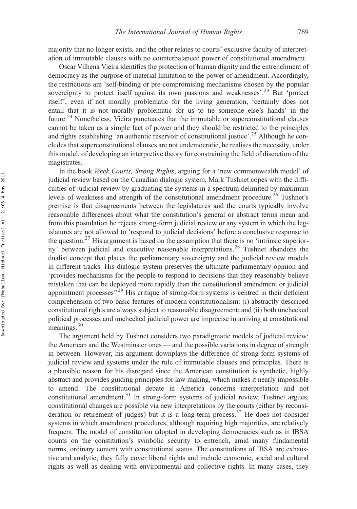majority that no longer exists, and the other relates to courts' exclusive faculty of interpretation of immutable clauses with no counterbalanced power of constitutional amendment.

Oscar Vilhena Vieira identifies the protection of human dignity and the entrenchment of democracy as the purpose of material limitation to the power of amendment. Accordingly, the restrictions are 'self-binding or pre-compromising mechanisms chosen by the popular sovereignty to protect itself against its own passions and weaknesses<sup>'23</sup> But 'protect itself', even if not morally problematic for the living generation, 'certainly does not entail that it is not morally problematic for us to tie someone else's hands' in the future.<sup>24</sup> Nonetheless, Vieira punctuates that the immutable or superconstitutional clauses cannot be taken as a simple fact of power and they should be restricted to the principles and rights establishing 'an authentic reservoir of constitutional justice'.<sup>25</sup> Although he concludes that superconstitutional clauses are not undemocratic, he realises the necessity, under this model, of developing an interpretive theory for constraining the field of discretion of the magistrates.

In the book Week Courts, Strong Rights, arguing for a 'new commonwealth model' of judicial review based on the Canadian dialogic system, Mark Tushnet copes with the difficulties of judicial review by graduating the systems in a spectrum delimited by maximum levels of weakness and strength of the constitutional amendment procedure.<sup>26</sup> Tushnet's premise is that disagreements between the legislatures and the courts typically involve reasonable differences about what the constitution's general or abstract terms mean and from this postulation he rejects strong-form judicial review or any system in which the legislatures are not allowed to 'respond to judicial decisions' before a conclusive response to the question.<sup>27</sup> His argument is based on the assumption that there is no 'intrinsic superiority' between judicial and executive reasonable interpretations.<sup>28</sup> Tushnet abandons the dualist concept that places the parliamentary sovereignty and the judicial review models in different tracks. His dialogic system preserves the ultimate parliamentary opinion and 'provides mechanisms for the people to respond to decisions that they reasonably believe mistaken that can be deployed more rapidly than the constitutional amendment or judicial appointment processes $^{22}$  His critique of strong-form systems is centred in their deficient comprehension of two basic features of modern constitutionalism: (i) abstractly described constitutional rights are always subject to reasonable disagreement; and (ii) both unchecked political processes and unchecked judicial power are imprecise in arriving at constitutional meanings.<sup>30</sup>

The argument held by Tushnet considers two paradigmatic models of judicial review: the American and the Westminster ones — and the possible variations in degree of strength in between. However, his argument downplays the difference of strong-form systems of judicial review and systems under the rule of immutable clauses and principles. There is a plausible reason for his disregard since the American constitution is synthetic, highly abstract and provides guiding principles for law making, which makes it nearly impossible to amend. The constitutional debate in America concerns interpretation and not constitutional amendment. $31$  In strong-form systems of judicial review, Tushnet argues, constitutional changes are possible via new interpretations by the courts (either by reconsideration or retirement of judges) but it is a long-term process.<sup>32</sup> He does not consider systems in which amendment procedures, although requiring high majorities, are relatively frequent. The model of constitution adopted in developing democracies such as in IBSA counts on the constitution's symbolic security to entrench, amid many fundamental norms, ordinary content with constitutional status. The constitutions of IBSA are exhaustive and analytic; they fully cover liberal rights and include economic, social and cultural rights as well as dealing with environmental and collective rights. In many cases, they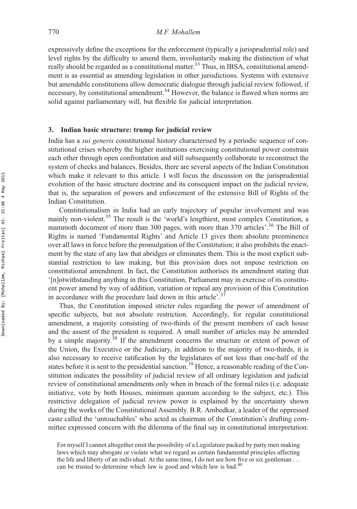expressively define the exceptions for the enforcement (typically a jurisprudential role) and level rights by the difficulty to amend them, involuntarily making the distinction of what really should be regarded as a constitutional matter.<sup>33</sup> Thus, in IBSA, constitutional amendment is as essential as amending legislation in other jurisdictions. Systems with extensive but amendable constitutions allow democratic dialogue through judicial review followed, if necessary, by constitutional amendment.<sup>34</sup> However, the balance is flawed when norms are solid against parliamentary will, but flexible for judicial interpretation.

### 3. Indian basic structure: trump for judicial review

India has a sui generis constitutional history characterised by a periodic sequence of constitutional crises whereby the higher institutions exercising constitutional power constrain each other through open confrontation and still subsequently collaborate to reconstruct the system of checks and balances. Besides, there are several aspects of the Indian Constitution which make it relevant to this article. I will focus the discussion on the jurisprudential evolution of the basic structure doctrine and its consequent impact on the judicial review, that is, the separation of powers and enforcement of the extensive Bill of Rights of the Indian Constitution.

Constitutionalism in India had an early trajectory of popular involvement and was mainly non-violent.<sup>35</sup> The result is the 'world's lengthiest, most complex Constitution, a mammoth document of more than 300 pages, with more than 370 articles'.<sup>36</sup> The Bill of Rights is named 'Fundamental Rights' and Article 13 gives them absolute preeminence over all laws in force before the promulgation of the Constitution; it also prohibits the enactment by the state of any law that abridges or eliminates them. This is the most explicit substantial restriction to law making, but this provision does not impose restriction on constitutional amendment. In fact, the Constitution authorises its amendment stating that '[n]otwithstanding anything in this Constitution, Parliament may in exercise of its constituent power amend by way of addition, variation or repeal any provision of this Constitution in accordance with the procedure laid down in this article'.<sup>37</sup>

Thus, the Constitution imposed stricter rules regarding the power of amendment of specific subjects, but not absolute restriction. Accordingly, for regular constitutional amendment, a majority consisting of two-thirds of the present members of each house and the assent of the president is required. A small number of articles may be amended by a simple majority.<sup>38</sup> If the amendment concerns the structure or extent of power of the Union, the Executive or the Judiciary, in addition to the majority of two-thirds, it is also necessary to receive ratification by the legislatures of not less than one-half of the states before it is sent to the presidential sanction.<sup>39</sup> Hence, a reasonable reading of the Constitution indicates the possibility of judicial review of all ordinary legislation and judicial review of constitutional amendments only when in breach of the formal rules (i.e. adequate initiative, vote by both Houses, minimum quorum according to the subject, etc.). This restrictive delegation of judicial review power is explained by the uncertainty shown during the works of the Constitutional Assembly. B.R. Ambedkar, a leader of the oppressed caste called the 'untouchables' who acted as chairman of the Constitution's drafting committee expressed concern with the dilemma of the final say in constitutional interpretation:

For myself I cannot altogether omit the possibility of a Legislature packed by party men making laws which may abrogate or violate what we regard as certain fundamental principles affecting the life and liberty of an individual. At the same time, I do not see how five or six gentleman ... can be trusted to determine which law is good and which law is bad.<sup>40</sup>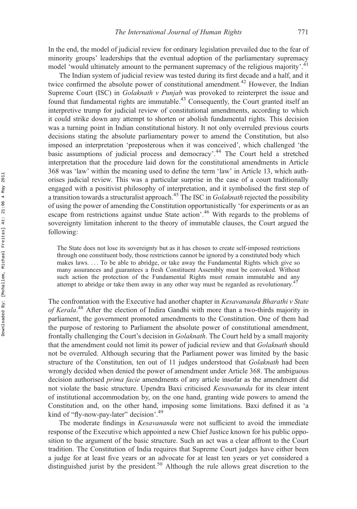In the end, the model of judicial review for ordinary legislation prevailed due to the fear of minority groups' leaderships that the eventual adoption of the parliamentary supremacy model 'would ultimately amount to the permanent supremacy of the religious majority'.<sup>41</sup>

The Indian system of judicial review was tested during its first decade and a half, and it twice confirmed the absolute power of constitutional amendment.<sup>42</sup> However, the Indian Supreme Court (ISC) in Golaknath v Punjab was provoked to reinterpret the issue and found that fundamental rights are immutable.<sup>43</sup> Consequently, the Court granted itself an interpretive trump for judicial review of constitutional amendments, according to which it could strike down any attempt to shorten or abolish fundamental rights. This decision was a turning point in Indian constitutional history. It not only overruled previous courts decisions stating the absolute parliamentary power to amend the Constitution, but also imposed an interpretation 'preposterous when it was conceived', which challenged 'the basic assumptions of judicial process and democracy'.<sup>44</sup> The Court held a stretched interpretation that the procedure laid down for the constitutional amendments in Article 368 was 'law' within the meaning used to define the term 'law' in Article 13, which authorises judicial review. This was a particular surprise in the case of a court traditionally engaged with a positivist philosophy of interpretation, and it symbolised the first step of a transition towards a structuralist approach.<sup>45</sup> The ISC in *Golaknath* rejected the possibility of using the power of amending the Constitution opportunistically 'for experiments or as an escape from restrictions against undue State action'.<sup>46</sup> With regards to the problems of sovereignty limitation inherent to the theory of immutable clauses, the Court argued the following:

The State does not lose its sovereignty but as it has chosen to create self-imposed restrictions through one constituent body, those restrictions cannot be ignored by a constituted body which makes laws. ... To be able to abridge, or take away the Fundamental Rights which give so many assurances and guarantees a fresh Constituent Assembly must be convoked. Without such action the protection of the Fundamental Rights must remain immutable and any attempt to abridge or take them away in any other way must be regarded as revolutionary.<sup>47</sup>

The confrontation with the Executive had another chapter in Kesavananda Bharathi v State of Kerala.<sup>48</sup> After the election of Indira Gandhi with more than a two-thirds majority in parliament, the government promoted amendments to the Constitution. One of them had the purpose of restoring to Parliament the absolute power of constitutional amendment, frontally challenging the Court's decision in Golaknath. The Court held by a small majority that the amendment could not limit its power of judicial review and that Golaknath should not be overruled. Although securing that the Parliament power was limited by the basic structure of the Constitution, ten out of 11 judges understood that *Golaknath* had been wrongly decided when denied the power of amendment under Article 368. The ambiguous decision authorised *prima facie* amendments of any article insofar as the amendment did not violate the basic structure. Upendra Baxi criticised Kesavananda for its clear intent of institutional accommodation by, on the one hand, granting wide powers to amend the Constitution and, on the other hand, imposing some limitations. Baxi defined it as 'a kind of "fly-now-pay-later" decision'.<sup>49</sup>

The moderate findings in Kesavananda were not sufficient to avoid the immediate response of the Executive which appointed a new Chief Justice known for his public opposition to the argument of the basic structure. Such an act was a clear affront to the Court tradition. The Constitution of India requires that Supreme Court judges have either been a judge for at least five years or an advocate for at least ten years or yet considered a distinguished jurist by the president.<sup>50</sup> Although the rule allows great discretion to the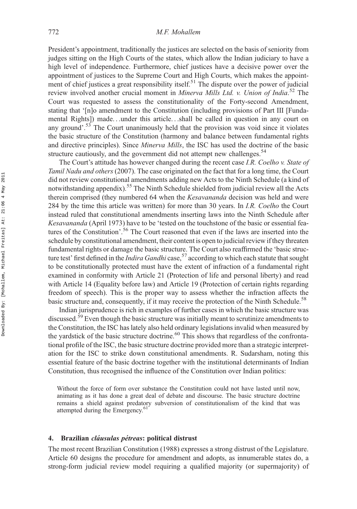President's appointment, traditionally the justices are selected on the basis of seniority from judges sitting on the High Courts of the states, which allow the Indian judiciary to have a high level of independence. Furthermore, chief justices have a decisive power over the appointment of justices to the Supreme Court and High Courts, which makes the appointment of chief justices a great responsibility itself.<sup>51</sup> The dispute over the power of judicial review involved another crucial moment in Minerva Mills Ltd. v. Union of India.<sup>52</sup> The Court was requested to assess the constitutionality of the Forty-second Amendment, stating that '[n]o amendment to the Constitution (including provisions of Part III [Fundamental Rights]) made...under this article...shall be called in question in any court on any ground'.<sup>53</sup> The Court unanimously held that the provision was void since it violates the basic structure of the Constitution (harmony and balance between fundamental rights and directive principles). Since Minerva Mills, the ISC has used the doctrine of the basic structure cautiously, and the government did not attempt new challenges.  $54$ 

The Court's attitude has however changed during the recent case I.R. Coelho v. State of Tamil Nadu and others (2007). The case originated on the fact that for a long time, the Court did not review constitutional amendments adding new Acts to the Ninth Schedule (a kind of notwithstanding appendix).55 The Ninth Schedule shielded from judicial review all the Acts therein comprised (they numbered 64 when the *Kesavananda* decision was held and were 284 by the time this article was written) for more than 30 years. In I.R. Coelho the Court instead ruled that constitutional amendments inserting laws into the Ninth Schedule after Kesavananda (April 1973) have to be 'tested on the touchstone of the basic or essential features of the Constitution'.<sup>56</sup> The Court reasoned that even if the laws are inserted into the schedule by constitutional amendment, their content is open to judicial review if they threaten fundamental rights or damage the basic structure. The Court also reaffirmed the 'basic structure test' first defined in the *Indira Gandhi* case,<sup>57</sup> according to which each statute that sought to be constitutionally protected must have the extent of infraction of a fundamental right examined in conformity with Article 21 (Protection of life and personal liberty) and read with Article 14 (Equality before law) and Article 19 (Protection of certain rights regarding freedom of speech). This is the proper way to assess whether the infraction affects the basic structure and, consequently, if it may receive the protection of the Ninth Schedule.<sup>58</sup>

Indian jurisprudence is rich in examples of further cases in which the basic structure was discussed.<sup>59</sup> Even though the basic structure was initially meant to scrutinize amendments to the Constitution, the ISC has lately also held ordinary legislations invalid when measured by the yardstick of the basic structure doctrine.<sup>60</sup> This shows that regardless of the confrontational profile of the ISC, the basic structure doctrine provided more than a strategic interpretation for the ISC to strike down constitutional amendments. R. Sudarsham, noting this essential feature of the basic doctrine together with the institutional determinants of Indian Constitution, thus recognised the influence of the Constitution over Indian politics:

Without the force of form over substance the Constitution could not have lasted until now, animating as it has done a great deal of debate and discourse. The basic structure doctrine remains a shield against predatory subversion of constitutionalism of the kind that was attempted during the Emergency.<sup>61</sup>

#### 4. Brazilian *cláusulas pétreas*: political distrust

The most recent Brazilian Constitution (1988) expresses a strong distrust of the Legislature. Article 60 designs the procedure for amendment and adopts, as innumerable states do, a strong-form judicial review model requiring a qualified majority (or supermajority) of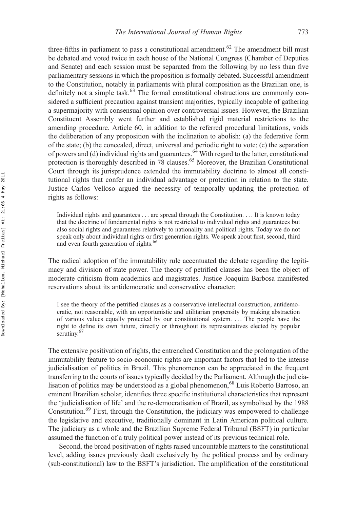three-fifths in parliament to pass a constitutional amendment.<sup>62</sup> The amendment bill must be debated and voted twice in each house of the National Congress (Chamber of Deputies and Senate) and each session must be separated from the following by no less than five parliamentary sessions in which the proposition is formally debated. Successful amendment to the Constitution, notably in parliaments with plural composition as the Brazilian one, is definitely not a simple task. $63$  The formal constitutional obstructions are commonly considered a sufficient precaution against transient majorities, typically incapable of gathering a supermajority with consensual opinion over controversial issues. However, the Brazilian Constituent Assembly went further and established rigid material restrictions to the amending procedure. Article 60, in addition to the referred procedural limitations, voids the deliberation of any proposition with the inclination to abolish: (a) the federative form of the state; (b) the concealed, direct, universal and periodic right to vote; (c) the separation of powers and (d) individual rights and guarantees.<sup>64</sup> With regard to the latter, constitutional protection is thoroughly described in 78 clauses.<sup>65</sup> Moreover, the Brazilian Constitutional Court through its jurisprudence extended the immutability doctrine to almost all constitutional rights that confer an individual advantage or protection in relation to the state. Justice Carlos Velloso argued the necessity of temporally updating the protection of rights as follows:

Individual rights and guarantees ... are spread through the Constitution. ... It is known today that the doctrine of fundamental rights is not restricted to individual rights and guarantees but also social rights and guarantees relatively to nationality and political rights. Today we do not speak only about individual rights or first generation rights. We speak about first, second, third and even fourth generation of rights.<sup>66</sup>

The radical adoption of the immutability rule accentuated the debate regarding the legitimacy and division of state power. The theory of petrified clauses has been the object of moderate criticism from academics and magistrates. Justice Joaquim Barbosa manifested reservations about its antidemocratic and conservative character:

I see the theory of the petrified clauses as a conservative intellectual construction, antidemocratic, not reasonable, with an opportunistic and utilitarian propensity by making abstraction of various values equally protected by our constitutional system. ... The people have the right to define its own future, directly or throughout its representatives elected by popular scrutiny.<sup>67</sup>

The extensive positivation of rights, the entrenched Constitution and the prolongation of the immutability feature to socio-economic rights are important factors that led to the intense judicialisation of politics in Brazil. This phenomenon can be appreciated in the frequent transferring to the courts of issues typically decided by the Parliament. Although the judicialisation of politics may be understood as a global phenomenon,<sup>68</sup> Luis Roberto Barroso, an eminent Brazilian scholar, identifies three specific institutional characteristics that represent the 'judicialisation of life' and the re-democratisation of Brazil, as symbolised by the 1988 Constitution.<sup>69</sup> First, through the Constitution, the judiciary was empowered to challenge the legislative and executive, traditionally dominant in Latin American political culture. The judiciary as a whole and the Brazilian Supreme Federal Tribunal (BSFT) in particular assumed the function of a truly political power instead of its previous technical role.

Second, the broad positivation of rights raised uncountable matters to the constitutional level, adding issues previously dealt exclusively by the political process and by ordinary (sub-constitutional) law to the BSFT's jurisdiction. The amplification of the constitutional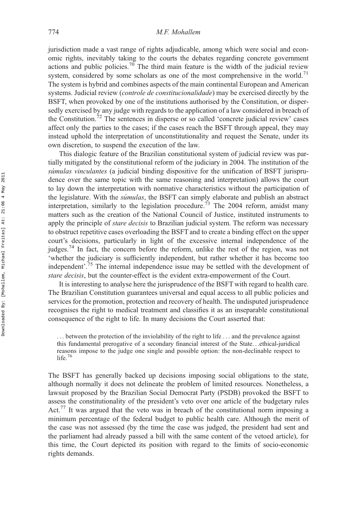jurisdiction made a vast range of rights adjudicable, among which were social and economic rights, inevitably taking to the courts the debates regarding concrete government actions and public policies.<sup>70</sup> The third main feature is the width of the judicial review system, considered by some scholars as one of the most comprehensive in the world.<sup>71</sup> The system is hybrid and combines aspects of the main continental European and American systems. Judicial review *(controle de constitucionalidade)* may be exercised directly by the BSFT, when provoked by one of the institutions authorised by the Constitution, or dispersedly exercised by any judge with regards to the application of a law considered in breach of the Constitution.<sup>72</sup> The sentences in disperse or so called 'concrete judicial review' cases affect only the parties to the cases; if the cases reach the BSFT through appeal, they may instead uphold the interpretation of unconstitutionality and request the Senate, under its own discretion, to suspend the execution of the law.

This dialogic feature of the Brazilian constitutional system of judicial review was partially mitigated by the constitutional reform of the judiciary in 2004. The institution of the su'mulas vinculantes (a judicial binding dispositive for the unification of BSFT jurisprudence over the same topic with the same reasoning and interpretation) allows the court to lay down the interpretation with normative characteristics without the participation of the legislature. With the *sumulas*, the BSFT can simply elaborate and publish an abstract interpretation, similarly to the legislation procedure.<sup>73</sup> The 2004 reform, amidst many matters such as the creation of the National Council of Justice, instituted instruments to apply the principle of *stare decisis* to Brazilian judicial system. The reform was necessary to obstruct repetitive cases overloading the BSFT and to create a binding effect on the upper court's decisions, particularly in light of the excessive internal independence of the judges.<sup>74</sup> In fact, the concern before the reform, unlike the rest of the region, was not 'whether the judiciary is sufficiently independent, but rather whether it has become too independent'.<sup>75</sup> The internal independence issue may be settled with the development of stare decisis, but the counter-effect is the evident extra-empowerment of the Court.

It is interesting to analyse here the jurisprudence of the BSFT with regard to health care. The Brazilian Constitution guarantees universal and equal access to all public policies and services for the promotion, protection and recovery of health. The undisputed jurisprudence recognises the right to medical treatment and classifies it as an inseparable constitutional consequence of the right to life. In many decisions the Court asserted that:

... between the protection of the inviolability of the right to life ... and the prevalence against this fundamental prerogative of a secondary financial interest of the State...ethical-juridical reasons impose to the judge one single and possible option: the non-declinable respect to life. $76$ 

The BSFT has generally backed up decisions imposing social obligations to the state, although normally it does not delineate the problem of limited resources. Nonetheless, a lawsuit proposed by the Brazilian Social Democrat Party (PSDB) provoked the BSFT to assess the constitutionality of the president's veto over one article of the budgetary rules Act.<sup>77</sup> It was argued that the veto was in breach of the constitutional norm imposing a minimum percentage of the federal budget to public health care. Although the merit of the case was not assessed (by the time the case was judged, the president had sent and the parliament had already passed a bill with the same content of the vetoed article), for this time, the Court depicted its position with regard to the limits of socio-economic rights demands.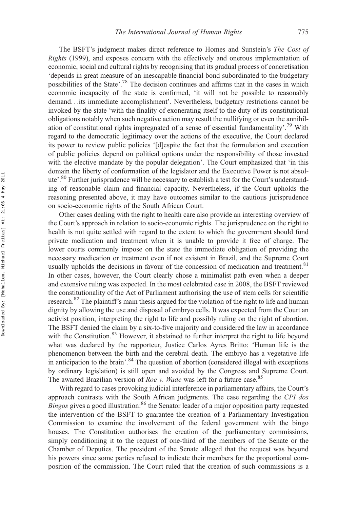The BSFT's judgment makes direct reference to Homes and Sunstein's The Cost of Rights (1999), and exposes concern with the effectively and onerous implementation of economic, social and cultural rights by recognising that its gradual process of concretisation 'depends in great measure of an inescapable financial bond subordinated to the budgetary possibilities of the State'.<sup>78</sup> The decision continues and affirms that in the cases in which economic incapacity of the state is confirmed, 'it will not be possible to reasonably demand...its immediate accomplishment'. Nevertheless, budgetary restrictions cannot be invoked by the state 'with the finality of exonerating itself to the duty of its constitutional obligations notably when such negative action may result the nullifying or even the annihilation of constitutional rights impregnated of a sense of essential fundamentality'.<sup>79</sup> With regard to the democratic legitimacy over the actions of the executive, the Court declared its power to review public policies '[d]espite the fact that the formulation and execution of public policies depend on political options under the responsibility of those invested with the elective mandate by the popular delegation'. The Court emphasized that 'in this domain the liberty of conformation of the legislator and the Executive Power is not absolute'.<sup>80</sup> Further jurisprudence will be necessary to establish a test for the Court's understanding of reasonable claim and financial capacity. Nevertheless, if the Court upholds the reasoning presented above, it may have outcomes similar to the cautious jurisprudence on socio-economic rights of the South African Court.

Other cases dealing with the right to health care also provide an interesting overview of the Court's approach in relation to socio-economic rights. The jurisprudence on the right to health is not quite settled with regard to the extent to which the government should fund private medication and treatment when it is unable to provide it free of charge. The lower courts commonly impose on the state the immediate obligation of providing the necessary medication or treatment even if not existent in Brazil, and the Supreme Court usually upholds the decisions in favour of the concession of medication and treatment.<sup>81</sup> In other cases, however, the Court clearly chose a minimalist path even when a deeper and extensive ruling was expected. In the most celebrated case in 2008, the BSFT reviewed the constitutionality of the Act of Parliament authorising the use of stem cells for scientific research.<sup>82</sup> The plaintiff's main thesis argued for the violation of the right to life and human dignity by allowing the use and disposal of embryo cells. It was expected from the Court an activist position, interpreting the right to life and possibly ruling on the right of abortion. The BSFT denied the claim by a six-to-five majority and considered the law in accordance with the Constitution.<sup>83</sup> However, it abstained to further interpret the right to life beyond what was declared by the rapporteur, Justice Carlos Ayres Britto: 'Human life is the phenomenon between the birth and the cerebral death. The embryo has a vegetative life in anticipation to the brain'.<sup>84</sup> The question of abortion (considered illegal with exceptions by ordinary legislation) is still open and avoided by the Congress and Supreme Court. The awaited Brazilian version of Roe v. Wade was left for a future case.<sup>85</sup>

With regard to cases provoking judicial interference in parliamentary affairs, the Court's approach contrasts with the South African judgments. The case regarding the CPI dos *Bingos* gives a good illustration:<sup>86</sup> the Senator leader of a major opposition party requested the intervention of the BSFT to guarantee the creation of a Parliamentary Investigation Commission to examine the involvement of the federal government with the bingo houses. The Constitution authorises the creation of the parliamentary commissions, simply conditioning it to the request of one-third of the members of the Senate or the Chamber of Deputies. The president of the Senate alleged that the request was beyond his powers since some parties refused to indicate their members for the proportional composition of the commission. The Court ruled that the creation of such commissions is a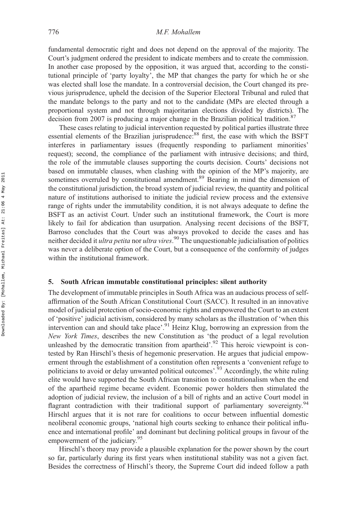fundamental democratic right and does not depend on the approval of the majority. The Court's judgment ordered the president to indicate members and to create the commission. In another case proposed by the opposition, it was argued that, according to the constitutional principle of 'party loyalty', the MP that changes the party for which he or she was elected shall lose the mandate. In a controversial decision, the Court changed its previous jurisprudence, upheld the decision of the Superior Electoral Tribunal and ruled that the mandate belongs to the party and not to the candidate (MPs are elected through a proportional system and not through majoritarian elections divided by districts). The decision from 2007 is producing a major change in the Brazilian political tradition.<sup>87</sup>

These cases relating to judicial intervention requested by political parties illustrate three essential elements of the Brazilian jurisprudence:<sup>88</sup> first, the ease with which the BSFT interferes in parliamentary issues (frequently responding to parliament minorities' request); second, the compliance of the parliament with intrusive decisions; and third, the role of the immutable clauses supporting the courts decision. Courts' decisions not based on immutable clauses, when clashing with the opinion of the MP's majority, are sometimes overruled by constitutional amendment.<sup>89</sup> Bearing in mind the dimension of the constitutional jurisdiction, the broad system of judicial review, the quantity and political nature of institutions authorised to initiate the judicial review process and the extensive range of rights under the immutability condition, it is not always adequate to define the BSFT as an activist Court. Under such an institutional framework, the Court is more likely to fail for abdication than usurpation. Analysing recent decisions of the BSFT, Barroso concludes that the Court was always provoked to decide the cases and has neither decided it *ultra petita* nor *ultra vires*.<sup>90</sup> The unquestionable judicialisation of politics was never a deliberate option of the Court, but a consequence of the conformity of judges within the institutional framework.

#### 5. South African immutable constitutional principles: silent authority

The development of immutable principles in South Africa was an audacious process of selfaffirmation of the South African Constitutional Court (SACC). It resulted in an innovative model of judicial protection of socio-economic rights and empowered the Court to an extent of 'positive' judicial activism, considered by many scholars as the illustration of 'when this intervention can and should take place'.<sup>91</sup> Heinz Klug, borrowing an expression from the New York Times, describes the new Constitution as 'the product of a legal revolution unleashed by the democratic transition from apartheid'.<sup>92</sup> This heroic viewpoint is contested by Ran Hirschl's thesis of hegemonic preservation. He argues that judicial empowerment through the establishment of a constitution often represents a 'convenient refuge to politicians to avoid or delay unwanted political outcomes'.<sup>93</sup> Accordingly, the white ruling elite would have supported the South African transition to constitutionalism when the end of the apartheid regime became evident. Economic power holders then stimulated the adoption of judicial review, the inclusion of a bill of rights and an active Court model in flagrant contradiction with their traditional support of parliamentary sovereignty.<sup>94</sup> Hirschl argues that it is not rare for coalitions to occur between influential domestic neoliberal economic groups, 'national high courts seeking to enhance their political influence and international profile' and dominant but declining political groups in favour of the empowerment of the judiciary.<sup>95</sup>

Hirschl's theory may provide a plausible explanation for the power shown by the court so far, particularly during its first years when institutional stability was not a given fact. Besides the correctness of Hirschl's theory, the Supreme Court did indeed follow a path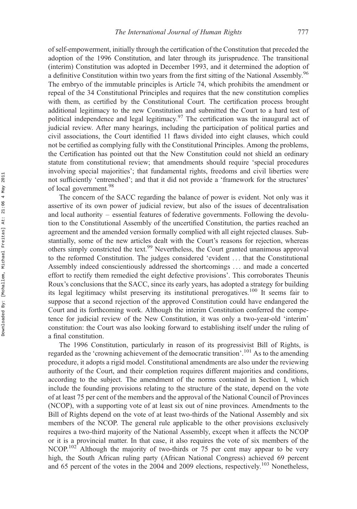of self-empowerment, initially through the certification of the Constitution that preceded the adoption of the 1996 Constitution, and later through its jurisprudence. The transitional (interim) Constitution was adopted in December 1993, and it determined the adoption of a definitive Constitution within two years from the first sitting of the National Assembly.<sup>96</sup> The embryo of the immutable principles is Article 74, which prohibits the amendment or repeal of the 34 Constitutional Principles and requires that the new constitution complies with them, as certified by the Constitutional Court. The certification process brought additional legitimacy to the new Constitution and submitted the Court to a hard test of political independence and legal legitimacy.<sup>97</sup> The certification was the inaugural act of judicial review. After many hearings, including the participation of political parties and civil associations, the Court identified 11 flaws divided into eight clauses, which could not be certified as complying fully with the Constitutional Principles. Among the problems, the Certification has pointed out that the New Constitution could not shield an ordinary statute from constitutional review; that amendments should require 'special procedures involving special majorities'; that fundamental rights, freedoms and civil liberties were not sufficiently 'entrenched'; and that it did not provide a 'framework for the structures' of local government.<sup>98</sup>

The concern of the SACC regarding the balance of power is evident. Not only was it assertive of its own power of judicial review, but also of the issues of decentralisation and local authority – essential features of federative governments. Following the devolution to the Constitutional Assembly of the uncertified Constitution, the parties reached an agreement and the amended version formally complied with all eight rejected clauses. Substantially, some of the new articles dealt with the Court's reasons for rejection, whereas others simply constricted the text.<sup>99</sup> Nevertheless, the Court granted unanimous approval to the reformed Constitution. The judges considered 'evident ... that the Constitutional Assembly indeed conscientiously addressed the shortcomings ... and made a concerted effort to rectify them remedied the eight defective provisions'. This corroborates Theunis Roux's conclusions that the SACC, since its early years, has adopted a strategy for building its legal legitimacy whilst preserving its institutional prerogatives.<sup>100</sup> It seems fair to suppose that a second rejection of the approved Constitution could have endangered the Court and its forthcoming work. Although the interim Constitution conferred the competence for judicial review of the New Constitution, it was only a two-year-old 'interim' constitution: the Court was also looking forward to establishing itself under the ruling of a final constitution.

The 1996 Constitution, particularly in reason of its progressivist Bill of Rights, is regarded as the 'crowning achievement of the democratic transition'.<sup>101</sup> As to the amending procedure, it adopts a rigid model. Constitutional amendments are also under the reviewing authority of the Court, and their completion requires different majorities and conditions, according to the subject. The amendment of the norms contained in Section I, which include the founding provisions relating to the structure of the state, depend on the vote of at least 75 per cent of the members and the approval of the National Council of Provinces (NCOP), with a supporting vote of at least six out of nine provinces. Amendments to the Bill of Rights depend on the vote of at least two-thirds of the National Assembly and six members of the NCOP. The general rule applicable to the other provisions exclusively requires a two-third majority of the National Assembly, except when it affects the NCOP or it is a provincial matter. In that case, it also requires the vote of six members of the NCOP.<sup>102</sup> Although the majority of two-thirds or 75 per cent may appear to be very high, the South African ruling party (African National Congress) achieved 69 percent and 65 percent of the votes in the 2004 and 2009 elections, respectively.<sup>103</sup> Nonetheless,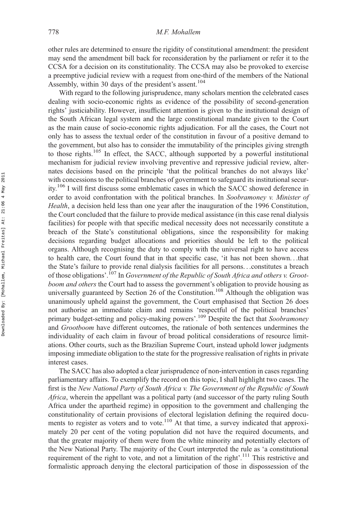#### 778 M.F. Mohallem

other rules are determined to ensure the rigidity of constitutional amendment: the president may send the amendment bill back for reconsideration by the parliament or refer it to the CCSA for a decision on its constitutionality. The CCSA may also be provoked to exercise a preemptive judicial review with a request from one-third of the members of the National Assembly, within 30 days of the president's assent.<sup>104</sup>

With regard to the following jurisprudence, many scholars mention the celebrated cases dealing with socio-economic rights as evidence of the possibility of second-generation rights' justiciability. However, insufficient attention is given to the institutional design of the South African legal system and the large constitutional mandate given to the Court as the main cause of socio-economic rights adjudication. For all the cases, the Court not only has to assess the textual order of the constitution in favour of a positive demand to the government, but also has to consider the immutability of the principles giving strength to those rights.<sup>105</sup> In effect, the SACC, although supported by a powerful institutional mechanism for judicial review involving preventive and repressive judicial review, alternates decisions based on the principle 'that the political branches do not always like' with concessions to the political branches of government to safeguard its institutional security.106 I will first discuss some emblematic cases in which the SACC showed deference in order to avoid confrontation with the political branches. In Soobramoney v. Minister of Health, a decision held less than one year after the inauguration of the 1996 Constitution, the Court concluded that the failure to provide medical assistance (in this case renal dialysis facilities) for people with that specific medical necessity does not necessarily constitute a breach of the State's constitutional obligations, since the responsibility for making decisions regarding budget allocations and priorities should be left to the political organs. Although recognising the duty to comply with the universal right to have access to health care, the Court found that in that specific case, 'it has not been shown...that the State's failure to provide renal dialysis facilities for all persons...constitutes a breach of those obligations'.<sup>107</sup> In Government of the Republic of South Africa and others v. Grootboom and others the Court had to assess the government's obligation to provide housing as universally guaranteed by Section 26 of the Constitution.<sup>108</sup> Although the obligation was unanimously upheld against the government, the Court emphasised that Section 26 does not authorise an immediate claim and remains 'respectful of the political branches' primary budget-setting and policy-making powers'.<sup>109</sup> Despite the fact that Soobramoney and Grootboom have different outcomes, the rationale of both sentences undermines the individuality of each claim in favour of broad political considerations of resource limitations. Other courts, such as the Brazilian Supreme Court, instead uphold lower judgments imposing immediate obligation to the state for the progressive realisation of rights in private interest cases.

The SACC has also adopted a clear jurisprudence of non-intervention in cases regarding parliamentary affairs. To exemplify the record on this topic, I shall highlight two cases. The first is the New National Party of South Africa v. The Government of the Republic of South Africa, wherein the appellant was a political party (and successor of the party ruling South Africa under the apartheid regime) in opposition to the government and challenging the constitutionality of certain provisions of electoral legislation defining the required documents to register as voters and to vote.<sup>110</sup> At that time, a survey indicated that approximately 20 per cent of the voting population did not have the required documents, and that the greater majority of them were from the white minority and potentially electors of the New National Party. The majority of the Court interpreted the rule as 'a constitutional requirement of the right to vote, and not a limitation of the right'.<sup>111</sup> This restrictive and formalistic approach denying the electoral participation of those in dispossession of the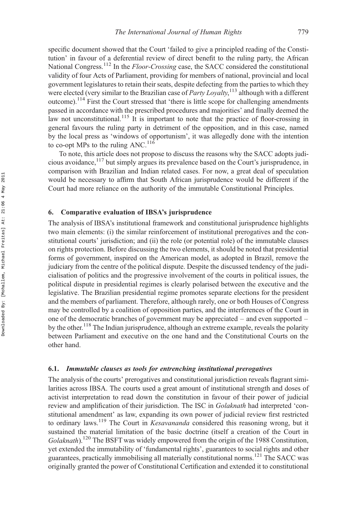specific document showed that the Court 'failed to give a principled reading of the Constitution' in favour of a deferential review of direct benefit to the ruling party, the African National Congress.<sup>112</sup> In the *Floor-Crossing* case, the SACC considered the constitutional validity of four Acts of Parliament, providing for members of national, provincial and local government legislatures to retain their seats, despite defecting from the parties to which they were elected (very similar to the Brazilian case of *Party Loyalty*,<sup>113</sup> although with a different outcome).<sup>114</sup> First the Court stressed that 'there is little scope for challenging amendments passed in accordance with the prescribed procedures and majorities' and finally deemed the law not unconstitutional.<sup>115</sup> It is important to note that the practice of floor-crossing in general favours the ruling party in detriment of the opposition, and in this case, named by the local press as 'windows of opportunism', it was allegedly done with the intention to co-opt MPs to the ruling  $\text{ANC.}^{116}$ 

To note, this article does not propose to discuss the reasons why the SACC adopts judicious avoidance,117 but simply argues its prevalence based on the Court's jurisprudence, in comparison with Brazilian and Indian related cases. For now, a great deal of speculation would be necessary to affirm that South African jurisprudence would be different if the Court had more reliance on the authority of the immutable Constitutional Principles.

## 6. Comparative evaluation of IBSA's jurisprudence

The analysis of IBSA's institutional framework and constitutional jurisprudence highlights two main elements: (i) the similar reinforcement of institutional prerogatives and the constitutional courts' jurisdiction; and (ii) the role (or potential role) of the immutable clauses on rights protection. Before discussing the two elements, it should be noted that presidential forms of government, inspired on the American model, as adopted in Brazil, remove the judiciary from the centre of the political dispute. Despite the discussed tendency of the judicialisation of politics and the progressive involvement of the courts in political issues, the political dispute in presidential regimes is clearly polarised between the executive and the legislative. The Brazilian presidential regime promotes separate elections for the president and the members of parliament. Therefore, although rarely, one or both Houses of Congress may be controlled by a coalition of opposition parties, and the interferences of the Court in one of the democratic branches of government may be appreciated – and even supported – by the other.<sup>118</sup> The Indian jurisprudence, although an extreme example, reveals the polarity between Parliament and executive on the one hand and the Constitutional Courts on the other hand.

#### 6.1. Immutable clauses as tools for entrenching institutional prerogatives

The analysis of the courts' prerogatives and constitutional jurisdiction reveals flagrant similarities across IBSA. The courts used a great amount of institutional strength and doses of activist interpretation to read down the constitution in favour of their power of judicial review and amplification of their jurisdiction. The ISC in *Golaknath* had interpreted 'constitutional amendment' as law, expanding its own power of judicial review first restricted to ordinary laws.<sup>119</sup> The Court in *Kesavananda* considered this reasoning wrong, but it sustained the material limitation of the basic doctrine (itself a creation of the Court in  $Goldknath$ ).<sup>120</sup> The BSFT was widely empowered from the origin of the 1988 Constitution, yet extended the immutability of 'fundamental rights', guarantees to social rights and other guarantees, practically immobilising all materially constitutional norms.<sup>121</sup> The SACC was originally granted the power of Constitutional Certification and extended it to constitutional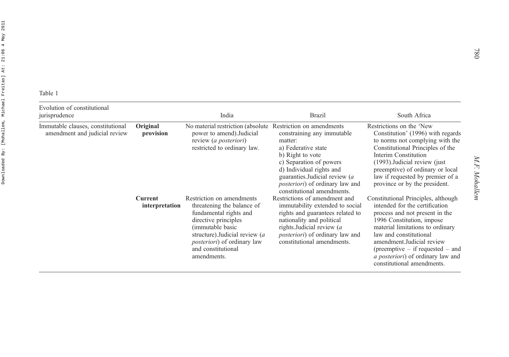| Evolution of constitutional<br>jurisprudence                       |                           | India                                                                                                                                                                                                                                        | <b>Brazil</b>                                                                                                                                                                                                                                                                      | South Africa                                                                                                                                                                                                                                                                                                                                       |
|--------------------------------------------------------------------|---------------------------|----------------------------------------------------------------------------------------------------------------------------------------------------------------------------------------------------------------------------------------------|------------------------------------------------------------------------------------------------------------------------------------------------------------------------------------------------------------------------------------------------------------------------------------|----------------------------------------------------------------------------------------------------------------------------------------------------------------------------------------------------------------------------------------------------------------------------------------------------------------------------------------------------|
| Immutable clauses, constitutional<br>amendment and judicial review | Original<br>provision     | No material restriction (absolute)<br>power to amend). Judicial<br>review (a posteriori)<br>restricted to ordinary law.                                                                                                                      | Restriction on amendments<br>constraining any immutable<br>matter:<br>a) Federative state<br>b) Right to vote<br>c) Separation of powers<br>d) Individual rights and<br>guaranties. Judicial review $(a)$<br><i>posteriori</i> ) of ordinary law and<br>constitutional amendments. | Restrictions on the 'New<br>Constitution' (1996) with regards<br>to norms not complying with the<br>Constitutional Principles of the<br>Interim Constitution<br>$(1993)$ . Judicial review (just)<br>preemptive) of ordinary or local<br>law if requested by premier of a<br>province or by the president.                                         |
|                                                                    | Current<br>interpretation | Restriction on amendments<br>threatening the balance of<br>fundamental rights and<br>directive principles<br>(immutable basic)<br>structure). Judicial review (a<br><i>posteriori</i> ) of ordinary law<br>and constitutional<br>amendments. | Restrictions of amendment and<br>immutability extended to social<br>rights and guarantees related to<br>nationality and political<br>rights. Judicial review $(a)$<br><i>posteriori</i> ) of ordinary law and<br>constitutional amendments.                                        | Constitutional Principles, although<br>intended for the certification<br>process and not present in the<br>1996 Constitution, impose<br>material limitations to ordinary<br>law and constitutional<br>amendment.Judicial review<br>(preemptive $-$ if requested $-$ and<br><i>a posteriori</i> ) of ordinary law and<br>constitutional amendments. |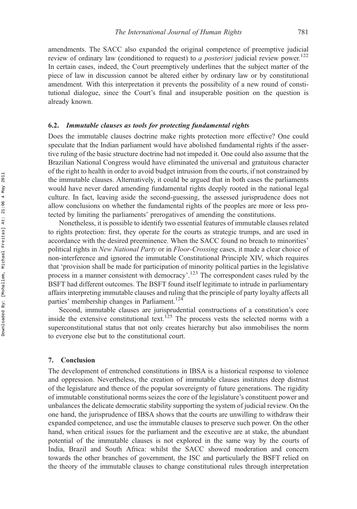amendments. The SACC also expanded the original competence of preemptive judicial review of ordinary law (conditioned to request) to a posteriori judicial review power.<sup>122</sup> In certain cases, indeed, the Court preemptively underlines that the subject matter of the piece of law in discussion cannot be altered either by ordinary law or by constitutional amendment. With this interpretation it prevents the possibility of a new round of constitutional dialogue, since the Court's final and insuperable position on the question is already known.

#### 6.2. Immutable clauses as tools for protecting fundamental rights

Does the immutable clauses doctrine make rights protection more effective? One could speculate that the Indian parliament would have abolished fundamental rights if the assertive ruling of the basic structure doctrine had not impeded it. One could also assume that the Brazilian National Congress would have eliminated the universal and gratuitous character of the right to health in order to avoid budget intrusion from the courts, if not constrained by the immutable clauses. Alternatively, it could be argued that in both cases the parliaments would have never dared amending fundamental rights deeply rooted in the national legal culture. In fact, leaving aside the second-guessing, the assessed jurisprudence does not allow conclusions on whether the fundamental rights of the peoples are more or less protected by limiting the parliaments' prerogatives of amending the constitutions.

Nonetheless, it is possible to identify two essential features of immutable clauses related to rights protection: first, they operate for the courts as strategic trumps, and are used in accordance with the desired preeminence. When the SACC found no breach to minorities' political rights in New National Party or in Floor-Crossing cases, it made a clear choice of non-interference and ignored the immutable Constitutional Principle XIV, which requires that 'provision shall be made for participation of minority political parties in the legislative process in a manner consistent with democracy'.<sup>123</sup> The correspondent cases ruled by the BSFT had different outcomes. The BSFT found itself legitimate to intrude in parliamentary affairs interpreting immutable clauses and ruling that the principle of party loyalty affects all parties' membership changes in Parliament.<sup>124</sup>

Second, immutable clauses are jurisprudential constructions of a constitution's core inside the extensive constitutional text.<sup>125</sup> The process vests the selected norms with a superconstitutional status that not only creates hierarchy but also immobilises the norm to everyone else but to the constitutional court.

#### 7. Conclusion

The development of entrenched constitutions in IBSA is a historical response to violence and oppression. Nevertheless, the creation of immutable clauses institutes deep distrust of the legislature and thence of the popular sovereignty of future generations. The rigidity of immutable constitutional norms seizes the core of the legislature's constituent power and unbalances the delicate democratic stability supporting the system of judicial review. On the one hand, the jurisprudence of IBSA shows that the courts are unwilling to withdraw their expanded competence, and use the immutable clauses to preserve such power. On the other hand, when critical issues for the parliament and the executive are at stake, the abundant potential of the immutable clauses is not explored in the same way by the courts of India, Brazil and South Africa: whilst the SACC showed moderation and concern towards the other branches of government, the ISC and particularly the BSFT relied on the theory of the immutable clauses to change constitutional rules through interpretation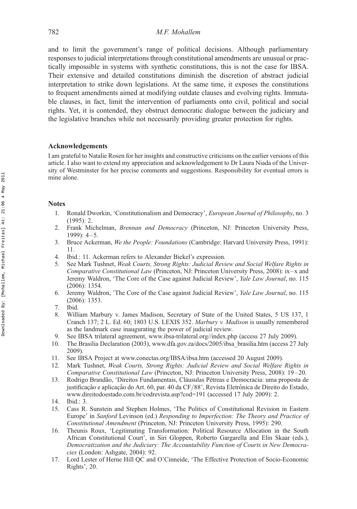and to limit the government's range of political decisions. Although parliamentary responses to judicial interpretations through constitutional amendments are unusual or practically impossible in systems with synthetic constitutions, this is not the case for IBSA. Their extensive and detailed constitutions diminish the discretion of abstract judicial interpretation to strike down legislations. At the same time, it exposes the constitutions to frequent amendments aimed at modifying outdate clauses and evolving rights. Immutable clauses, in fact, limit the intervention of parliaments onto civil, political and social rights. Yet, it is contended, they obstruct democratic dialogue between the judiciary and the legislative branches while not necessarily providing greater protection for rights.

### Acknowledgements

I am grateful to Natalie Rosen for her insights and constructive criticisms on the earlier versions of this article. I also want to extend my appreciation and acknowledgement to Dr Laura Niada of the University of Westminster for her precise comments and suggestions. Responsibility for eventual errors is mine alone.

### **Notes**

- 1. Ronald Dworkin, 'Constitutionalism and Democracy', European Journal of Philosophy, no. 3 (1995): 2.
- 2. Frank Michelman, Brennan and Democracy (Princeton, NJ: Princeton University Press, 1999): 4–5.
- 3. Bruce Ackerman, We the People: Foundations (Cambridge: Harvard University Press, 1991): 11.
- 4. Ibid.: 11. Ackerman refers to Alexander Bickel's expression.
- 5. See Mark Tushnet, Weak Courts, Strong Rights: Judicial Review and Social Welfare Rights in Comparative Constitutional Law (Princeton, NJ: Princeton University Press, 2008):  $ix - x$  and Jeremy Waldron, 'The Core of the Case against Judicial Review', Yale Law Journal, no. 115 (2006): 1354.
- 6. Jeremy Waldron, 'The Core of the Case against Judicial Review', Yale Law Journal, no. 115 (2006): 1353.
- 7. Ibid.
- 8. William Marbury v. James Madison, Secretary of State of the United States, 5 US 137, 1 Cranch 137; 2 L. Ed. 60; 1803 U.S. LEXIS 352. Marbury v. Madison is usually remembered as the landmark case inaugurating the power of judicial review.
- 9. See IBSA trilateral agreement,<www.ibsa-trilateral.org//index.php> (access 27 July 2009).
- 10. The Brasilia Declaration (2003), [www.dfa.gov.za/docs/2005/ibsa\\_brasilia.htm](www.dfa.gov.za/docs/2005/ibsa_brasilia.htm) (access 27 July 2009).
- 11. See IBSA Project at<www.conectas.org/IBSA/ibsa.htm> (accessed 20 August 2009).
- 12. Mark Tushnet, Weak Courts, Strong Rights: Judicial Review and Social Welfare Rights in Comparative Constitutional Law (Princeton, NJ: Princeton University Press, 2008): 19 –20.
- 13. Rodrigo Brandão, 'Direitos Fundamentais, Cláusulas Pétreas e Democracia: uma proposta de justificação e aplicação do Art. 60, par. 40 da CF/88', Revista Eletrônica de Direito do Estado, <www.direitodoestado.com.br/codrevista.asp?cod=191> (accessed 17 July 2009): 2.
- 14. Ibid.: 3.
- 15. Cass R. Sunstein and Stephen Holmes, 'The Politics of Constitutional Revision in Eastern Europe' in Sanford Levinson (ed.) Responding to Imperfection: The Theory and Practice of Constitutional Amendment (Princeton, NJ: Princeton University Press, 1995): 290.
- 16. Theunis Roux, 'Legitimating Transformation: Political Resource Allocation in the South African Constitutional Court', in Siri Gloppen, Roberto Gargarella and Elin Skaar (eds.), Democratization and the Judiciary: The Accountability Function of Courts in New Democracies (London: Ashgate, 2004): 92.
- 17. Lord Lester of Herne Hill QC and O'Cinneide, 'The Effective Protection of Socio-Economic Rights', 20.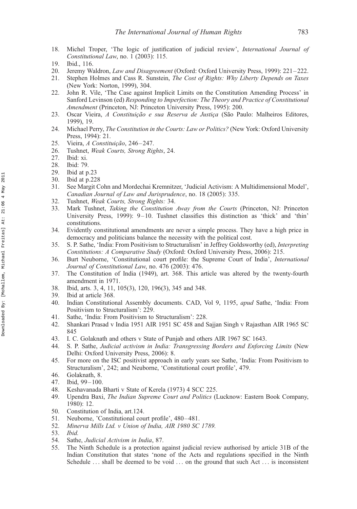- 18. Michel Troper, 'The logic of justification of judicial review', International Journal of Constitutional Law, no. 1 (2003): 115.
- 19. Ibid., 116.
- 20. Jeremy Waldron, Law and Disagreement (Oxford: Oxford University Press, 1999): 221-222.
- 21. Stephen Holmes and Cass R. Sunstein, The Cost of Rights: Why Liberty Depends on Taxes (New York: Norton, 1999), 304.
- 22. John R. Vile, 'The Case against Implicit Limits on the Constitution Amending Process' in Sanford Levinson (ed) Responding to Imperfection: The Theory and Practice of Constitutional Amendment (Princeton, NJ: Princeton University Press, 1995): 200.
- 23. Oscar Vieira, A Constituição e sua Reserva de Justica (São Paulo: Malheiros Editores, 1999), 19.
- 24. Michael Perry, The Constitution in the Courts: Law or Politics? (New York: Oxford University Press, 1994): 21.
- 25. Vieira, A Constituição, 246-247.
- 26. Tushnet, Weak Courts, Strong Rights, 24.
- 27. Ibid: xi.
- 28. Ibid: 79.
- 29. Ibid at p.23
- 30. Ibid at p.228
- 31. See Margit Cohn and Mordechai Kremnitzer, 'Judicial Activism: A Multidimensional Model', Canadian Journal of Law and Jurisprudence, no. 18 (2005): 335.
- 32. Tushnet, Weak Courts, Strong Rights: 34.
- 33. Mark Tushnet, Taking the Constitution Away from the Courts (Princeton, NJ: Princeton University Press, 1999): 9–10. Tushnet classifies this distinction as 'thick' and 'thin' constitutions.
- 34. Evidently constitutional amendments are never a simple process. They have a high price in democracy and politicians balance the necessity with the political cost.
- 35. S. P. Sathe, 'India: From Positivism to Structuralism' in Jeffrey Goldsworthy (ed), Interpreting Constitutions: A Comparative Study (Oxford: Oxford University Press, 2006): 215.
- 36. Burt Neuborne, 'Constitutional court profile: the Supreme Court of India', International Journal of Constitutional Law, no. 476 (2003): 476.
- 37. The Constitution of India (1949), art. 368. This article was altered by the twenty-fourth amendment in 1971.
- 38. Ibid, arts. 3, 4, 11, 105(3), 120, 196(3), 345 and 348.
- 39. Ibid at article 368.
- 40. Indian Constitutional Assembly documents. CAD, Vol 9, 1195, apud Sathe, 'India: From Positivism to Structuralism': 229.
- 41. Sathe, 'India: From Positivism to Structuralism': 228.
- 42. Shankari Prasad v India 1951 AIR 1951 SC 458 and Sajjan Singh v Rajasthan AIR 1965 SC 845
- 43. I. C. Golaknath and others v State of Punjab and others AIR 1967 SC 1643.
- 44. S. P. Sathe, Judicial activism in India: Transgressing Borders and Enforcing Limits (New Delhi: Oxford University Press, 2006): 8.
- 45. For more on the ISC positivist approach in early years see Sathe, 'India: From Positivism to Structuralism', 242; and Neuborne, 'Constitutional court profile', 479.
- 46. Golaknath, 8.
- 47. Ibid, 99-100.<br>48. Keshavanada
- Keshavanada Bharti v State of Kerela (1973) 4 SCC 225.
- 49. Upendra Baxi, The Indian Supreme Court and Politics (Lucknow: Eastern Book Company, 1980): 12.
- 50. Constitution of India, art.124.
- 51. Neuborne, 'Constitutional court profile', 480 –481.
- 52. Minerva Mills Ltd. v Union of India, AIR 1980 SC 1789.
- 53. Ibid.
- 54. Sathe, Judicial Activism in India, 87.
- 55. The Ninth Schedule is a protection against judicial review authorised by article 31B of the Indian Constitution that states 'none of the Acts and regulations specified in the Ninth Schedule ... shall be deemed to be void ... on the ground that such Act ... is inconsistent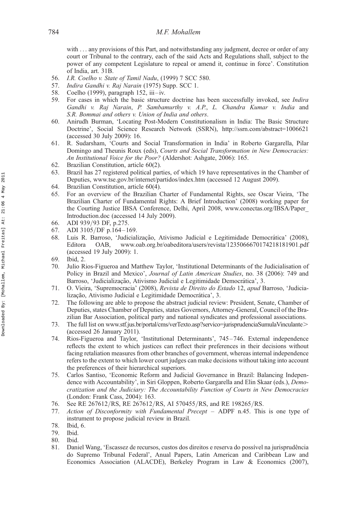with ... any provisions of this Part, and notwithstanding any judgment, decree or order of any court or Tribunal to the contrary, each of the said Acts and Regulations shall, subject to the power of any competent Legislature to repeal or amend it, continue in force'. Constitution of India, art. 31B.

- 56. I.R. Coelho v. State of Tamil Nadu, (1999) 7 SCC 580.
- 57. Indira Gandhi v. Raj Narain (1975) Supp. SCC 1.
- 58. Coelho (1999), paragraph  $152$ , iii-iv.
- 59. For cases in which the basic structure doctrine has been successfully invoked, see *Indira* Gandhi v. Raj Narain, P. Sambamurthy v. A.P., L. Chandra Kumar v. India and S.R. Bommai and others v. Union of India and others.
- 60. Anirudh Burman, 'Locating Post-Modern Constitutionalism in India: The Basic Structure Doctrine', Social Science Research Network (SSRN),<http://ssrn.com/abstract=1006621> (accessed 30 July 2009): 16.
- 61. R. Sudarsham, 'Courts and Social Transformation in India' in Roberto Gargarella, Pilar Domingo and Theunis Roux (eds), Courts and Social Transformation in New Democracies: An Institutional Voice for the Poor? (Aldershot: Ashgate, 2006): 165.
- 62. Brazilian Constitution, article 60(2).
- 63. Brazil has 27 registered political parties, of which 19 have representatives in the Chamber of Deputies,<www.tse.gov.br/internet/partidos/index.htm> (accessed 12 August 2009).
- 64. Brazilian Constitution, article 60(4).
- 65. For an overview of the Brazilian Charter of Fundamental Rights, see Oscar Vieira, 'The Brazilian Charter of Fundamental Rights: A Brief Introduction' (2008) working paper for the Courting Justice IBSA Conference, Delhi, April 2008, [www.conectas.org/IBSA/Paper\\_](www.conectas.org/IBSA/Paper_Introduction.doc) [Introduction.doc](www.conectas.org/IBSA/Paper_Introduction.doc) (accessed 14 July 2009).
- 66. ADI 939/93 DF, p.275.
- 67. ADI 3105/DF p.164– 169.
- 68. Luis R. Barroso, 'Judicialização, Ativismo Judicial e Legitimidade Democrática' (2008), Editora OAB,<www.oab.org.br/oabeditora/users/revista/1235066670174218181901.pdf> (accessed 19 July 2009): 1.
- 69. Ibid, 2.
- 70. Julio Rios-Figueroa and Matthew Taylor, 'Institutional Determinants of the Judicialisation of Policy in Brazil and Mexico', Journal of Latin American Studies, no. 38 (2006): 749 and Barroso, 'Judicialização, Ativismo Judicial e Legitimidade Democrática', 3.
- 71. O. Vieira, 'Supremocracia' (2008), Revista de Direito do Estado 12, apud Barroso, 'Judicialização, Ativismo Judicial e Legitimidade Democrática', 3.
- 72. The following are able to propose the abstract judicial review: President, Senate, Chamber of Deputies, states Chamber of Deputies, states Governors, Attorney-General, Council of the Brazilian Bar Association, political party and national syndicates and professional associations.
- 73. The full list on<www.stf.jus.br/portal/cms/verTexto.asp?servico=jurisprudenciaSumulaVinculante>. (accessed 26 January 2011).
- 74. Rios-Figueroa and Taylor, 'Institutional Determinants', 745 –746. External independence reflects the extent to which justices can reflect their preferences in their decisions without facing retaliation measures from other branches of government, whereas internal independence refers to the extent to which lower court judges can make decisions without taking into account the preferences of their hierarchical superiors.
- 75. Carlos Santiso, 'Economic Reform and Judicial Governance in Brazil: Balancing Independence with Accountability', in Siri Gloppen, Roberto Gargarella and Elin Skaar (eds.), Democratization and the Judiciary: The Accountability Function of Courts in New Democracies (London: Frank Cass, 2004): 163.
- 76. See RE 267612/RS, RE 267612/RS, AI 570455/RS, and RE 198265/RS.
- 77. Action of Disconformity with Fundamental Precept ADPF n.45. This is one type of instrument to propose judicial review in Brazil.
- 78. Ibid, 6.
- 79. Ibid.
- 80. Ibid.
- 81. Daniel Wang, 'Escassez de recursos, custos dos direitos e reserva do possível na jurisprudência do Supremo Tribunal Federal', Anual Papers, Latin American and Caribbean Law and Economics Association (ALACDE), Berkeley Program in Law & Economics (2007),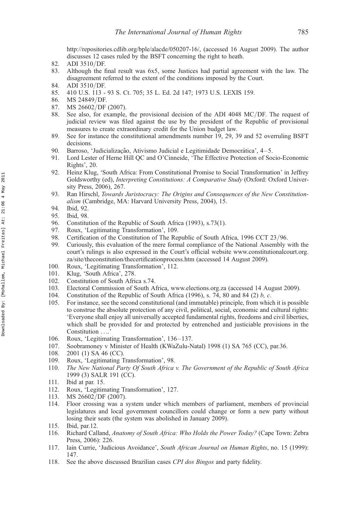<http://repositories.cdlib.org/bple/alacde/050207-16/>, (accessed 16 August 2009). The author discusses 12 cases ruled by the BSFT concerning the right to heath.

- 83. Although the final result was 6x5, some Justices had partial agreement with the law. The disagreement referred to the extent of the conditions imposed by the Court.
- 84. ADI 3510/DF.
- 85. 410 U.S. 113 93 S. Ct. 705; 35 L. Ed. 2d 147; 1973 U.S. LEXIS 159.
- 86. MS 24849/DF.
- 87. MS 26602/DF (2007).
- 88. See also, for example, the provisional decision of the ADI 4048 MC/DF. The request of judicial review was filed against the use by the president of the Republic of provisional measures to create extraordinary credit for the Union budget law.
- 89. See for instance the constitutional amendments number 19, 29, 39 and 52 overruling BSFT decisions.
- 90. Barroso, 'Judicialização, Ativismo Judicial e Legitimidade Democrática',  $4-5$ .
- 91. Lord Lester of Herne Hill QC and O'Cinneide, 'The Effective Protection of Socio-Economic Rights', 20.
- 92. Heinz Klug, 'South Africa: From Constitutional Promise to Social Transformation' in Jeffrey Goldsworthy (ed), Interpreting Constitutions: A Comparative Study (Oxford: Oxford University Press, 2006), 267.
- 93. Ran Hirschl, Towards Juristocracy: The Origins and Consequences of the New Constitutionalism (Cambridge, MA: Harvard University Press, 2004), 15.
- 94. Ibid, 92.
- 95. Ibid, 98.
- 96. Constitution of the Republic of South Africa (1993), s.73(1).
- 97. Roux, 'Legitimating Transformation', 109.
- 98. Certification of the Constitution of The Republic of South Africa, 1996 CCT 23/96.
- 99. Curiously, this evaluation of the mere formal compliance of the National Assembly with the court's rulings is also expressed in the Court's official website [www.constitutionalcourt.org.](www.constitutionalcourt.org.za/site/theconstitution/thecertificationprocess.htm) [za/site/theconstitution/thecertificationprocess.htm](www.constitutionalcourt.org.za/site/theconstitution/thecertificationprocess.htm) (accessed 14 August 2009).
- 100. Roux, 'Legitimating Transformation', 112.
- 101. Klug, 'South Africa', 278.
- 102. Constitution of South Africa s.74.<br>103. Electoral Commission of South At
- 103. Electoral Commission of South Africa,<www.elections.org.za> (accessed 14 August 2009).
- 104. Constitution of the Republic of South Africa (1996), s. 74, 80 and 84 (2) b, c.
- 105. For instance, see the second constitutional (and immutable) principle, from which it is possible to construe the absolute protection of any civil, political, social, economic and cultural rights: 'Everyone shall enjoy all universally accepted fundamental rights, freedoms and civil liberties, which shall be provided for and protected by entrenched and justiciable provisions in the Constitution ....<sup>7</sup>
- 106. Roux, 'Legitimating Transformation', 136-137.
- 107. Soobramoney v Minister of Health (KWaZulu-Natal) 1998 (1) SA 765 (CC), par.36.
- 108. 2001 (1) SA 46 (CC).
- 109. Roux, 'Legitimating Transformation', 98.
- 110. The New National Party Of South Africa v. The Government of the Republic of South Africa 1999 (3) SALR 191 (CC).
- 111. Ibid at par. 15.<br>112. Roux, 'Legitim
- 112. Roux, 'Legitimating Transformation', 127.
- 113. MS 26602/DF (2007).
- 114. Floor crossing was a system under which members of parliament, members of provincial legislatures and local government councillors could change or form a new party without losing their seats (the system was abolished in January 2009).
- 115. Ibid, par.12.
- 116. Richard Calland, Anatomy of South Africa: Who Holds the Power Today? (Cape Town: Zebra Press, 2006): 226.
- 117. Iain Currie, 'Judicious Avoidance', South African Journal on Human Rights, no. 15 (1999): 147.
- 118. See the above discussed Brazilian cases CPI dos Bingos and party fidelity.

<sup>82.</sup> ADI 3510/DF.